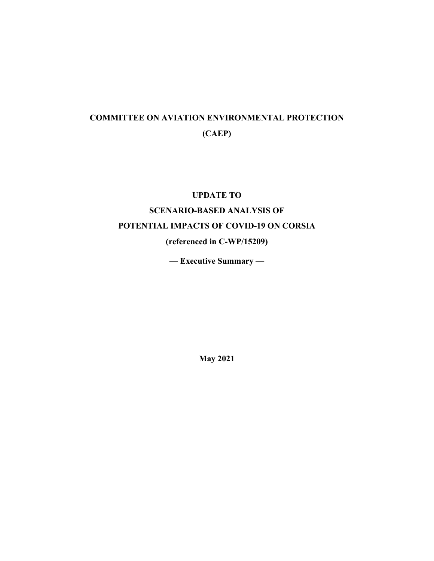# **COMMITTEE ON AVIATION ENVIRONMENTAL PROTECTION (CAEP)**

# **UPDATE TO**

# **SCENARIO-BASED ANALYSIS OF**

# **POTENTIAL IMPACTS OF COVID-19 ON CORSIA**

# **(referenced in C-WP/15209)**

**— Executive Summary —** 

**May 2021**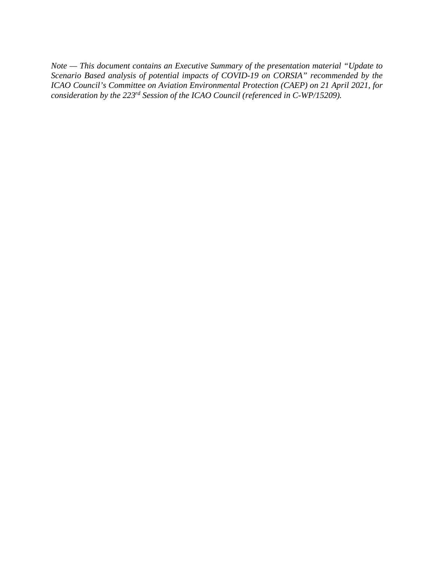*Note — This document contains an Executive Summary of the presentation material "Update to Scenario Based analysis of potential impacts of COVID-19 on CORSIA" recommended by the ICAO Council's Committee on Aviation Environmental Protection (CAEP) on 21 April 2021, for consideration by the 223rd Session of the ICAO Council (referenced in C-WP/15209).*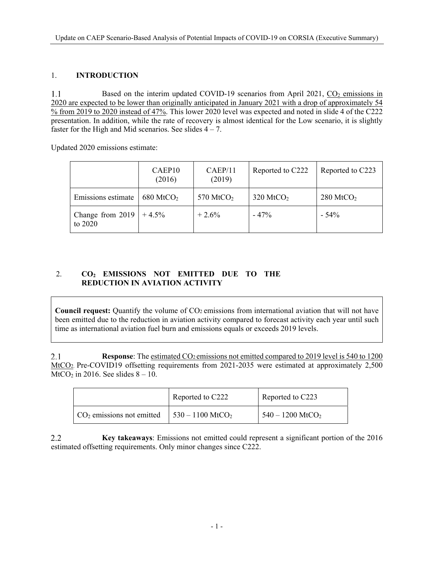#### 1. **INTRODUCTION**

 $1.1$ Based on the interim updated COVID-19 scenarios from April 2021,  $CO<sub>2</sub>$  emissions in 2020 are expected to be lower than originally anticipated in January 2021 with a drop of approximately 54 % from 2019 to 2020 instead of 47%. This lower 2020 level was expected and noted in slide 4 of the C222 presentation. In addition, while the rate of recovery is almost identical for the Low scenario, it is slightly faster for the High and Mid scenarios. See slides  $4 - 7$ .

Updated 2020 emissions estimate:

|                             | CAEP10<br>(2016)        | CAEP/11<br>(2019)     | Reported to C222     | Reported to C223     |
|-----------------------------|-------------------------|-----------------------|----------------------|----------------------|
| Emissions estimate          | $680$ MtCO <sub>2</sub> | 570 MtCO <sub>2</sub> | $320 \text{ MtCO}_2$ | $280 \text{ MtCO}_2$ |
| Change from 2019<br>to 2020 | $+4.5\%$                | $+2.6\%$              | $-47%$               | $-54\%$              |

## 2. **CO2 EMISSIONS NOT EMITTED DUE TO THE REDUCTION IN AVIATION ACTIVITY**

**Council request:** Quantify the volume of CO2 emissions from international aviation that will not have been emitted due to the reduction in aviation activity compared to forecast activity each year until such time as international aviation fuel burn and emissions equals or exceeds 2019 levels.

 $2.1$ **Response**: The estimated CO2 emissions not emitted compared to 2019 level is 540 to 1200 MtCO2. Pre-COVID19 offsetting requirements from 2021-2035 were estimated at approximately 2,500 MtCO<sub>2</sub> in 2016. See slides  $8 - 10$ .

|                                                            | Reported to C222 | Reported to C223               |
|------------------------------------------------------------|------------------|--------------------------------|
| $CO2$ emissions not emitted   530 – 1100 MtCO <sub>2</sub> |                  | $540 - 1200$ MtCO <sub>2</sub> |

2.2 **Key takeaways**: Emissions not emitted could represent a significant portion of the 2016 estimated offsetting requirements. Only minor changes since C222.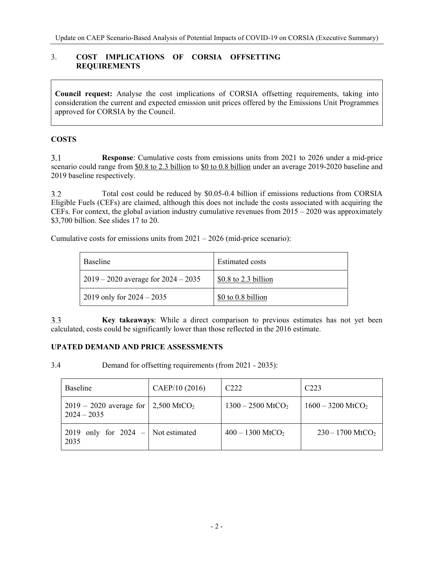## 3. **COST IMPLICATIONS OF CORSIA OFFSETTING REQUIREMENTS**

**Council request:** Analyse the cost implications of CORSIA offsetting requirements, taking into consideration the current and expected emission unit prices offered by the Emissions Unit Programmes approved for CORSIA by the Council.

#### **COSTS**

 $3.1$ **Response**: Cumulative costs from emissions units from 2021 to 2026 under a mid-price scenario could range from \$0.8 to 2.3 billion to \$0 to 0.8 billion under an average 2019-2020 baseline and 2019 baseline respectively.

Total cost could be reduced by \$0.05-0.4 billion if emissions reductions from CORSIA  $3.2$ Eligible Fuels (CEFs) are claimed, although this does not include the costs associated with acquiring the CEFs. For context, the global aviation industry cumulative revenues from 2015 – 2020 was approximately \$3,700 billion. See slides 17 to 20.

Cumulative costs for emissions units from  $2021 - 2026$  (mid-price scenario):

| <b>Baseline</b>                         | <b>Estimated costs</b> |
|-----------------------------------------|------------------------|
| $2019 - 2020$ average for $2024 - 2035$ | $$0.8$ to 2.3 billion  |
| 2019 only for $2024 - 2035$             | \$0 to 0.8 billion     |

 $3.3$ **Key takeaways**: While a direct comparison to previous estimates has not yet been calculated, costs could be significantly lower than those reflected in the 2016 estimate.

### **UPATED DEMAND AND PRICE ASSESSMENTS**

3.4 Demand for offsetting requirements (from 2021 - 2035):

| Baseline                                                           | CAEP/10 (2016) | C <sub>222</sub>                | C <sub>223</sub>                |
|--------------------------------------------------------------------|----------------|---------------------------------|---------------------------------|
| 2019 – 2020 average for   2,500 MtCO <sub>2</sub><br>$2024 - 2035$ |                | $1300 - 2500$ MtCO <sub>2</sub> | $1600 - 3200$ MtCO <sub>2</sub> |
| 2019 only for $2024 -$<br>2035                                     | Not estimated  | $400 - 1300$ MtCO <sub>2</sub>  | $230 - 1700$ MtCO <sub>2</sub>  |